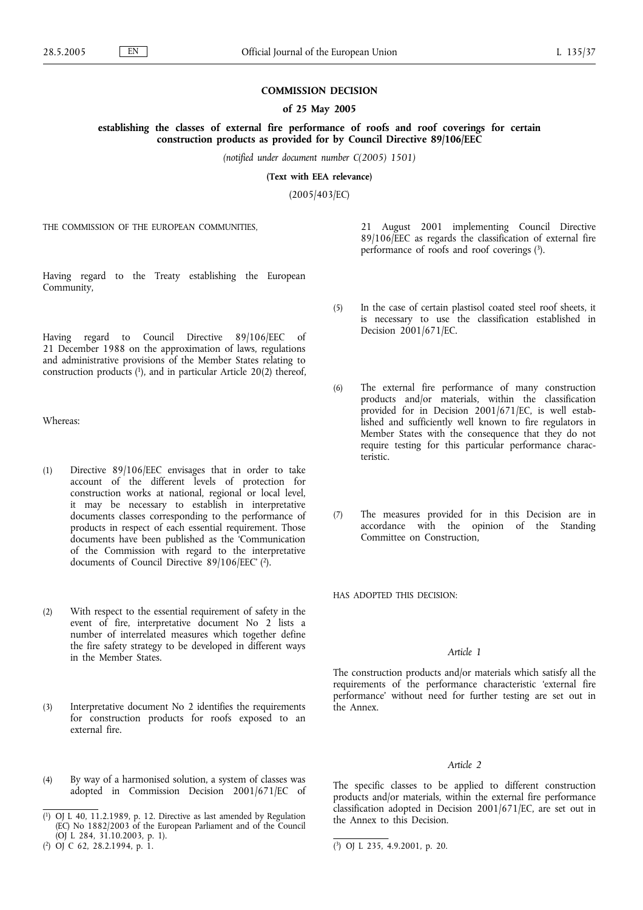## **COMMISSION DECISION**

## **of 25 May 2005**

## **establishing the classes of external fire performance of roofs and roof coverings for certain construction products as provided for by Council Directive 89/106/EEC**

*(notified under document number C(2005) 1501)*

**(Text with EEA relevance)**

(2005/403/EC)

THE COMMISSION OF THE EUROPEAN COMMUNITIES,

Having regard to the Treaty establishing the European Community,

Having regard to Council Directive 89/106/EEC of 21 December 1988 on the approximation of laws, regulations and administrative provisions of the Member States relating to construction products (1), and in particular Article 20(2) thereof,

Whereas:

- (1) Directive 89/106/EEC envisages that in order to take account of the different levels of protection for construction works at national, regional or local level, it may be necessary to establish in interpretative documents classes corresponding to the performance of products in respect of each essential requirement. Those documents have been published as the 'Communication of the Commission with regard to the interpretative documents of Council Directive 89/106/EEC' ( 2).
- (2) With respect to the essential requirement of safety in the event of fire, interpretative document No 2 lists a number of interrelated measures which together define the fire safety strategy to be developed in different ways in the Member States.
- (3) Interpretative document No 2 identifies the requirements for construction products for roofs exposed to an external fire.
- (4) By way of a harmonised solution, a system of classes was adopted in Commission Decision 2001/671/EC of

( 2) OJ C 62, 28.2.1994, p. 1. (

21 August 2001 implementing Council Directive 89/106/EEC as regards the classification of external fire performance of roofs and roof coverings (3).

- (5) In the case of certain plastisol coated steel roof sheets, it is necessary to use the classification established in Decision 2001/671/EC.
- (6) The external fire performance of many construction products and/or materials, within the classification provided for in Decision 2001/671/EC, is well established and sufficiently well known to fire regulators in Member States with the consequence that they do not require testing for this particular performance characteristic.
- (7) The measures provided for in this Decision are in accordance with the opinion of the Standing Committee on Construction,

HAS ADOPTED THIS DECISION:

## *Article 1*

The construction products and/or materials which satisfy all the requirements of the performance characteristic 'external fire performance' without need for further testing are set out in the Annex.

## *Article 2*

The specific classes to be applied to different construction products and/or materials, within the external fire performance classification adopted in Decision 2001/671/EC, are set out in the Annex to this Decision.

<sup>(</sup> 1) OJ L 40, 11.2.1989, p. 12. Directive as last amended by Regulation (EC) No 1882/2003 of the European Parliament and of the Council (OJ L 284, 31.10.2003, p. 1).

<sup>3)</sup> OJ L 235, 4.9.2001, p. 20.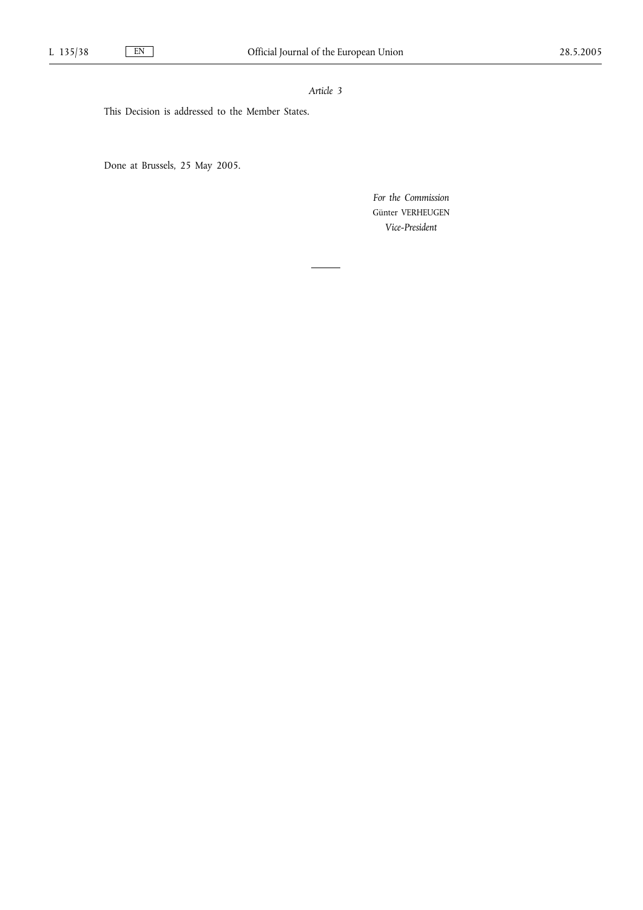# *Article 3*

This Decision is addressed to the Member States.

Done at Brussels, 25 May 2005.

*For the Commission* Günter VERHEUGEN *Vice-President*